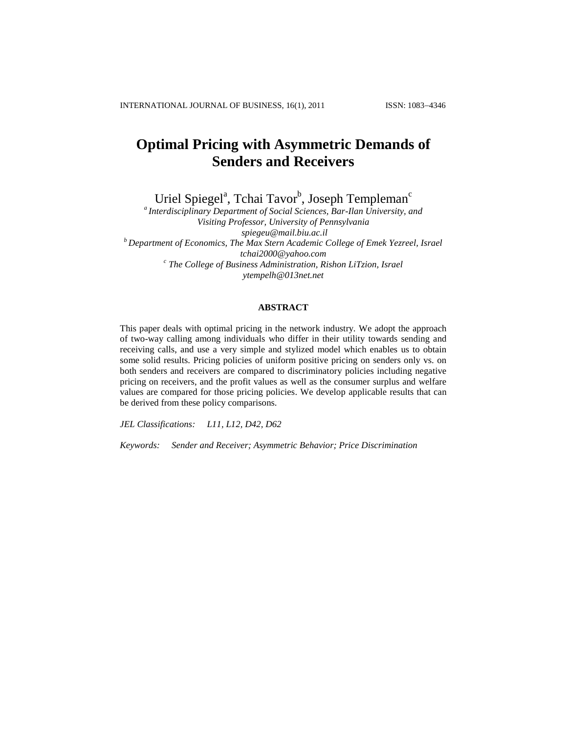# **Optimal Pricing with Asymmetric Demands of Senders and Receivers**

Uriel Spiegel<sup>a</sup>, Tchai Tavor<sup>b</sup>, Joseph Templeman<sup>c</sup>

*<sup>a</sup>Interdisciplinary Department of Social Sciences, Bar-Ilan University, and Visiting Professor, University of Pennsylvania spiegeu@mail.biu.ac.il <sup>b</sup>Department of Economics, The Max Stern Academic College of Emek Yezreel, Israel tchai2000@yahoo.com c The College of Business Administration, Rishon LiTzion, Israel ytempelh@013net.net*

# **ABSTRACT**

This paper deals with optimal pricing in the network industry. We adopt the approach of two-way calling among individuals who differ in their utility towards sending and receiving calls, and use a very simple and stylized model which enables us to obtain some solid results. Pricing policies of uniform positive pricing on senders only vs. on both senders and receivers are compared to discriminatory policies including negative pricing on receivers, and the profit values as well as the consumer surplus and welfare values are compared for those pricing policies. We develop applicable results that can be derived from these policy comparisons.

*JEL Classifications: L11, L12, D42, D62*

*Keywords: Sender and Receiver; Asymmetric Behavior; Price Discrimination*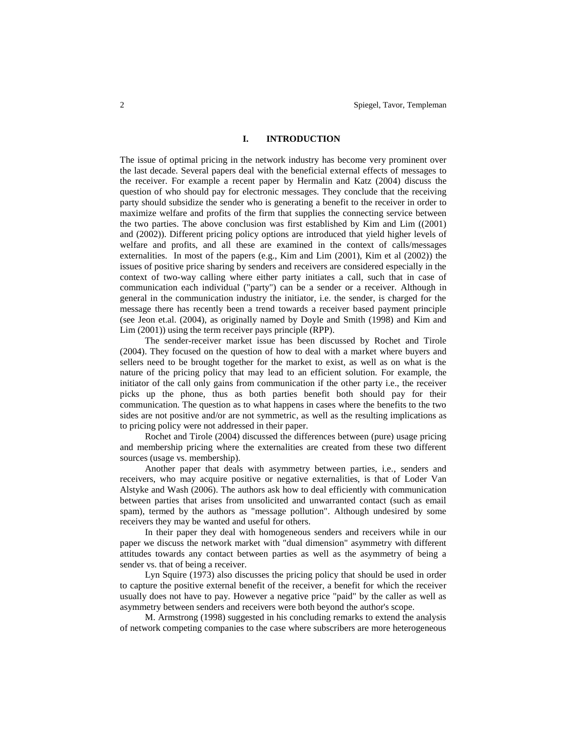#### **I. INTRODUCTION**

The issue of optimal pricing in the network industry has become very prominent over the last decade. Several papers deal with the beneficial external effects of messages to the receiver. For example a recent paper by Hermalin and Katz (2004) discuss the question of who should pay for electronic messages. They conclude that the receiving party should subsidize the sender who is generating a benefit to the receiver in order to maximize welfare and profits of the firm that supplies the connecting service between the two parties. The above conclusion was first established by Kim and Lim ((2001) and (2002)). Different pricing policy options are introduced that yield higher levels of welfare and profits, and all these are examined in the context of calls/messages externalities. In most of the papers (e.g., Kim and Lim (2001), Kim et al (2002)) the issues of positive price sharing by senders and receivers are considered especially in the context of two-way calling where either party initiates a call, such that in case of communication each individual ("party") can be a sender or a receiver. Although in general in the communication industry the initiator, i.e. the sender, is charged for the message there has recently been a trend towards a receiver based payment principle (see Jeon et.al. (2004), as originally named by Doyle and Smith (1998) and Kim and Lim (2001)) using the term receiver pays principle (RPP).

The sender-receiver market issue has been discussed by Rochet and Tirole (2004). They focused on the question of how to deal with a market where buyers and sellers need to be brought together for the market to exist, as well as on what is the nature of the pricing policy that may lead to an efficient solution. For example, the initiator of the call only gains from communication if the other party i.e., the receiver picks up the phone, thus as both parties benefit both should pay for their communication. The question as to what happens in cases where the benefits to the two sides are not positive and/or are not symmetric, as well as the resulting implications as to pricing policy were not addressed in their paper.

Rochet and Tirole (2004) discussed the differences between (pure) usage pricing and membership pricing where the externalities are created from these two different sources (usage vs. membership).

Another paper that deals with asymmetry between parties, i.e., senders and receivers, who may acquire positive or negative externalities, is that of Loder Van Alstyke and Wash (2006). The authors ask how to deal efficiently with communication between parties that arises from unsolicited and unwarranted contact (such as email spam), termed by the authors as "message pollution". Although undesired by some receivers they may be wanted and useful for others.

In their paper they deal with homogeneous senders and receivers while in our paper we discuss the network market with "dual dimension" asymmetry with different attitudes towards any contact between parties as well as the asymmetry of being a sender vs. that of being a receiver.

Lyn Squire (1973) also discusses the pricing policy that should be used in order to capture the positive external benefit of the receiver, a benefit for which the receiver usually does not have to pay. However a negative price "paid" by the caller as well as asymmetry between senders and receivers were both beyond the author's scope.

M. Armstrong (1998) suggested in his concluding remarks to extend the analysis of network competing companies to the case where subscribers are more heterogeneous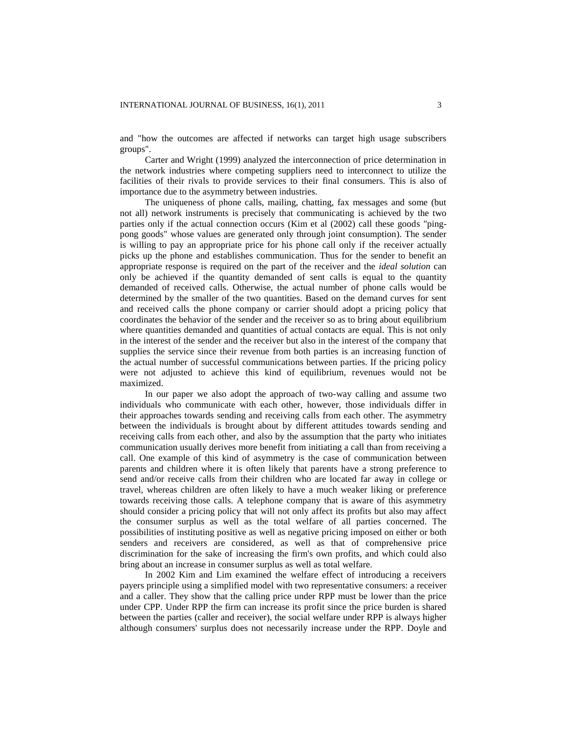and "how the outcomes are affected if networks can target high usage subscribers groups".

Carter and Wright (1999) analyzed the interconnection of price determination in the network industries where competing suppliers need to interconnect to utilize the facilities of their rivals to provide services to their final consumers. This is also of importance due to the asymmetry between industries.

The uniqueness of phone calls, mailing, chatting, fax messages and some (but not all) network instruments is precisely that communicating is achieved by the two parties only if the actual connection occurs (Kim et al (2002) call these goods "pingpong goods" whose values are generated only through joint consumption). The sender is willing to pay an appropriate price for his phone call only if the receiver actually picks up the phone and establishes communication. Thus for the sender to benefit an appropriate response is required on the part of the receiver and the *ideal solution* can only be achieved if the quantity demanded of sent calls is equal to the quantity demanded of received calls. Otherwise, the actual number of phone calls would be determined by the smaller of the two quantities. Based on the demand curves for sent and received calls the phone company or carrier should adopt a pricing policy that coordinates the behavior of the sender and the receiver so as to bring about equilibrium where quantities demanded and quantities of actual contacts are equal. This is not only in the interest of the sender and the receiver but also in the interest of the company that supplies the service since their revenue from both parties is an increasing function of the actual number of successful communications between parties. If the pricing policy were not adjusted to achieve this kind of equilibrium, revenues would not be maximized.

In our paper we also adopt the approach of two-way calling and assume two individuals who communicate with each other, however, those individuals differ in their approaches towards sending and receiving calls from each other. The asymmetry between the individuals is brought about by different attitudes towards sending and receiving calls from each other, and also by the assumption that the party who initiates communication usually derives more benefit from initiating a call than from receiving a call. One example of this kind of asymmetry is the case of communication between parents and children where it is often likely that parents have a strong preference to send and/or receive calls from their children who are located far away in college or travel, whereas children are often likely to have a much weaker liking or preference towards receiving those calls. A telephone company that is aware of this asymmetry should consider a pricing policy that will not only affect its profits but also may affect the consumer surplus as well as the total welfare of all parties concerned. The possibilities of instituting positive as well as negative pricing imposed on either or both senders and receivers are considered, as well as that of comprehensive price discrimination for the sake of increasing the firm's own profits, and which could also bring about an increase in consumer surplus as well as total welfare.

In 2002 Kim and Lim examined the welfare effect of introducing a receivers payers principle using a simplified model with two representative consumers: a receiver and a caller. They show that the calling price under RPP must be lower than the price under CPP. Under RPP the firm can increase its profit since the price burden is shared between the parties (caller and receiver), the social welfare under RPP is always higher although consumers' surplus does not necessarily increase under the RPP. Doyle and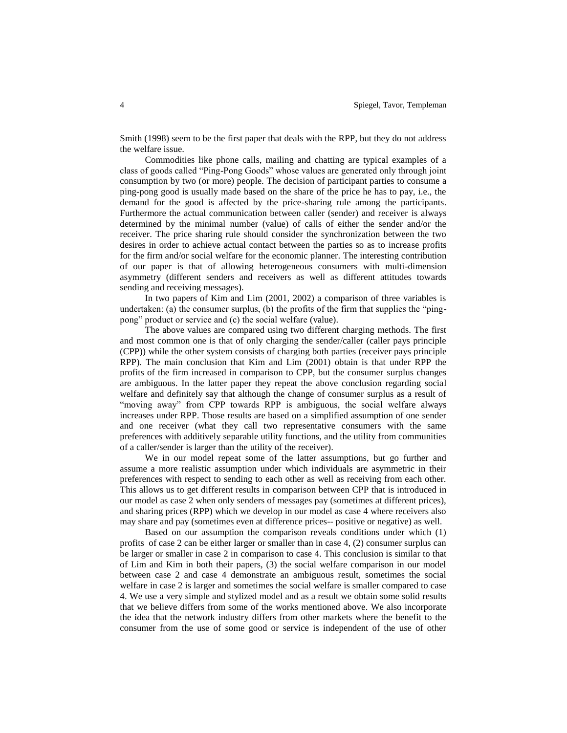Smith (1998) seem to be the first paper that deals with the RPP, but they do not address the welfare issue.

Commodities like phone calls, mailing and chatting are typical examples of a class of goods called "Ping-Pong Goods" whose values are generated only through joint consumption by two (or more) people. The decision of participant parties to consume a ping-pong good is usually made based on the share of the price he has to pay, i.e., the demand for the good is affected by the price-sharing rule among the participants. Furthermore the actual communication between caller (sender) and receiver is always determined by the minimal number (value) of calls of either the sender and/or the receiver. The price sharing rule should consider the synchronization between the two desires in order to achieve actual contact between the parties so as to increase profits for the firm and/or social welfare for the economic planner. The interesting contribution of our paper is that of allowing heterogeneous consumers with multi-dimension asymmetry (different senders and receivers as well as different attitudes towards sending and receiving messages).

In two papers of Kim and Lim (2001, 2002) a comparison of three variables is undertaken: (a) the consumer surplus, (b) the profits of the firm that supplies the "pingpong" product or service and (c) the social welfare (value).

The above values are compared using two different charging methods. The first and most common one is that of only charging the sender/caller (caller pays principle (CPP)) while the other system consists of charging both parties (receiver pays principle RPP). The main conclusion that Kim and Lim (2001) obtain is that under RPP the profits of the firm increased in comparison to CPP, but the consumer surplus changes are ambiguous. In the latter paper they repeat the above conclusion regarding social welfare and definitely say that although the change of consumer surplus as a result of "moving away" from CPP towards RPP is ambiguous, the social welfare always increases under RPP. Those results are based on a simplified assumption of one sender and one receiver (what they call two representative consumers with the same preferences with additively separable utility functions, and the utility from communities of a caller/sender is larger than the utility of the receiver).

We in our model repeat some of the latter assumptions, but go further and assume a more realistic assumption under which individuals are asymmetric in their preferences with respect to sending to each other as well as receiving from each other. This allows us to get different results in comparison between CPP that is introduced in our model as case 2 when only senders of messages pay (sometimes at different prices), and sharing prices (RPP) which we develop in our model as case 4 where receivers also may share and pay (sometimes even at difference prices-- positive or negative) as well.

Based on our assumption the comparison reveals conditions under which (1) profits of case 2 can be either larger or smaller than in case 4, (2) consumer surplus can be larger or smaller in case 2 in comparison to case 4. This conclusion is similar to that of Lim and Kim in both their papers, (3) the social welfare comparison in our model between case 2 and case 4 demonstrate an ambiguous result, sometimes the social welfare in case 2 is larger and sometimes the social welfare is smaller compared to case 4. We use a very simple and stylized model and as a result we obtain some solid results that we believe differs from some of the works mentioned above. We also incorporate the idea that the network industry differs from other markets where the benefit to the consumer from the use of some good or service is independent of the use of other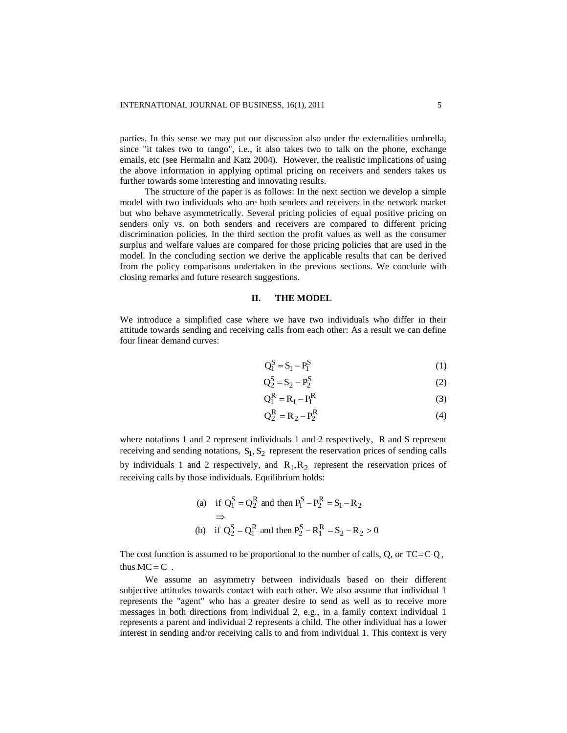parties. In this sense we may put our discussion also under the externalities umbrella, since "it takes two to tango", i.e., it also takes two to talk on the phone, exchange emails, etc (see Hermalin and Katz 2004). However, the realistic implications of using the above information in applying optimal pricing on receivers and senders takes us further towards some interesting and innovating results.

The structure of the paper is as follows: In the next section we develop a simple model with two individuals who are both senders and receivers in the network market but who behave asymmetrically. Several pricing policies of equal positive pricing on senders only vs. on both senders and receivers are compared to different pricing discrimination policies. In the third section the profit values as well as the consumer surplus and welfare values are compared for those pricing policies that are used in the model. In the concluding section we derive the applicable results that can be derived from the policy comparisons undertaken in the previous sections. We conclude with closing remarks and future research suggestions.

#### **II. THE MODEL**

We introduce a simplified case where we have two individuals who differ in their attitude towards sending and receiving calls from each other: As a result we can define four linear demand curves:

$$
Q_1^S = S_1 - P_1^S \tag{1}
$$

$$
Q_2^S = S_2 - P_2^S \tag{2}
$$

$$
Q_1^R = R_1 - P_1^R
$$
 (3)

$$
Q_2^R = R_2 - P_2^R
$$
 (4)

where notations 1 and 2 represent individuals 1 and 2 respectively. R and S represent receiving and sending notations,  $S_1, S_2$  represent the reservation prices of sending calls by individuals 1 and 2 respectively, and  $R_1, R_2$  represent the reservation prices of receiving calls by those individuals. Equilibrium holds:

(a) if 
$$
Q_1^S = Q_2^R
$$
 and then  $P_1^S - P_2^R = S_1 - R_2$   
\n $\Rightarrow$   
\n(b) if  $Q_2^S = Q_1^R$  and then  $P_2^S - R_1^R = S_2 - R_2 > 0$ 

The cost function is assumed to be proportional to the number of calls, Q, or  $TC = C \cdot Q$ , thus  $MC = C$ .

We assume an asymmetry between individuals based on their different subjective attitudes towards contact with each other. We also assume that individual 1 represents the "agent" who has a greater desire to send as well as to receive more messages in both directions from individual 2, e.g., in a family context individual 1 represents a parent and individual 2 represents a child. The other individual has a lower interest in sending and/or receiving calls to and from individual 1. This context is very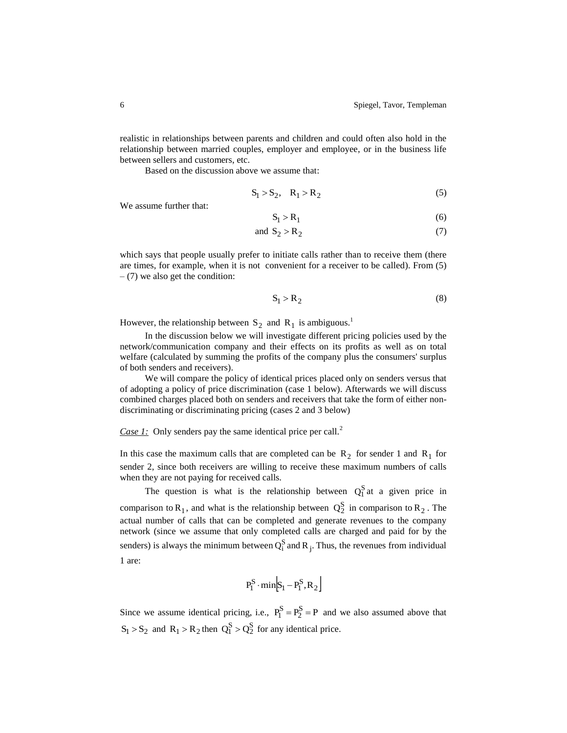realistic in relationships between parents and children and could often also hold in the relationship between married couples, employer and employee, or in the business life between sellers and customers, etc.

Based on the discussion above we assume that:

$$
S_1 > S_2, \quad R_1 > R_2 \tag{5}
$$

We assume further that:

$$
S_1 > R_1 \tag{6}
$$

and 
$$
S_2 > R_2 \tag{7}
$$

which says that people usually prefer to initiate calls rather than to receive them (there are times, for example, when it is not convenient for a receiver to be called). From (5)  $-$  (7) we also get the condition:

$$
S_1 > R_2 \tag{8}
$$

However, the relationship between  $S_2$  and  $R_1$  is ambiguous.<sup>1</sup>

In the discussion below we will investigate different pricing policies used by the network/communication company and their effects on its profits as well as on total welfare (calculated by summing the profits of the company plus the consumers' surplus of both senders and receivers).

We will compare the policy of identical prices placed only on senders versus that of adopting a policy of price discrimination (case 1 below). Afterwards we will discuss combined charges placed both on senders and receivers that take the form of either nondiscriminating or discriminating pricing (cases 2 and 3 below)

*Case 1:* Only senders pay the same identical price per call.<sup>2</sup>

In this case the maximum calls that are completed can be  $R_2$  for sender 1 and  $R_1$  for sender 2, since both receivers are willing to receive these maximum numbers of calls when they are not paying for received calls.

The question is what is the relationship between  $Q_1^S$  at a given price in comparison to  $R_1$ , and what is the relationship between  $Q_2^S$  in comparison to  $R_2$ . The actual number of calls that can be completed and generate revenues to the company network (since we assume that only completed calls are charged and paid for by the senders) is always the minimum between  $Q_i^S$  and  $R_i$ . Thus, the revenues from individual 1 are:

$$
P_1^S \cdot min[S_1 - P_1^S, R_2]
$$

Since we assume identical pricing, i.e.,  $P_1^S = P_2^S = P$  and we also assumed above that  $S_1 > S_2$  and  $R_1 > R_2$  then  $Q_1^S > Q_2^S$  for any identical price.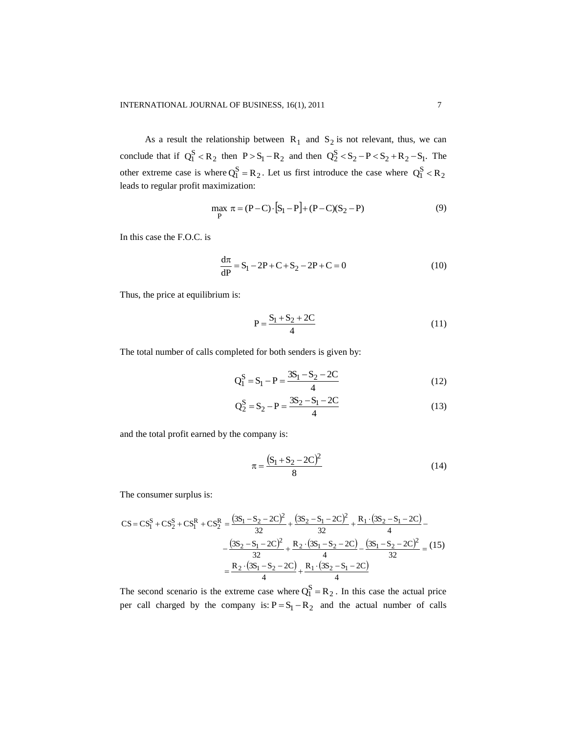As a result the relationship between  $R_1$  and  $S_2$  is not relevant, thus, we can conclude that if  $Q_1^S < R_2$  then  $P > S_1 - R_2$  and then  $Q_2^S < S_2 - P < S_2 + R_2 - S_1$ . The other extreme case is where  $Q_1^S = R_2$ . Let us first introduce the case where  $Q_1^S < R_2$ leads to regular profit maximization:

$$
\max_{P} \pi = (P - C) \cdot [S_1 - P] + (P - C)(S_2 - P) \tag{9}
$$

In this case the F.O.C. is

$$
\frac{d\pi}{dP} = S_1 - 2P + C + S_2 - 2P + C = 0
$$
\n(10)

Thus, the price at equilibrium is:

$$
P = \frac{S_1 + S_2 + 2C}{4}
$$
 (11)

The total number of calls completed for both senders is given by:

$$
Q_1^S = S_1 - P = \frac{3S_1 - S_2 - 2C}{4}
$$
 (12)

$$
Q_2^S = S_2 - P = \frac{3S_2 - S_1 - 2C}{4}
$$
 (13)

and the total profit earned by the company is:

$$
\pi = \frac{(S_1 + S_2 - 2C)^2}{8} \tag{14}
$$

The consumer surplus is:

$$
CS = CS_1^S + CS_2^S + CS_1^R + CS_2^R = \frac{(3S_1 - S_2 - 2C)^2}{32} + \frac{(3S_2 - S_1 - 2C)^2}{32} + \frac{R_1 \cdot (3S_2 - S_1 - 2C)}{4} - \frac{(3S_2 - S_1 - 2C)^2}{32} + \frac{R_2 \cdot (3S_1 - S_2 - 2C)}{4} - \frac{(3S_1 - S_2 - 2C)^2}{32} = (15)
$$

$$
= \frac{R_2 \cdot (3S_1 - S_2 - 2C)}{4} + \frac{R_1 \cdot (3S_2 - S_1 - 2C)}{4}
$$

The second scenario is the extreme case where  $Q_1^S = R_2$ . In this case the actual price per call charged by the company is:  $P = S_1 - R_2$  and the actual number of calls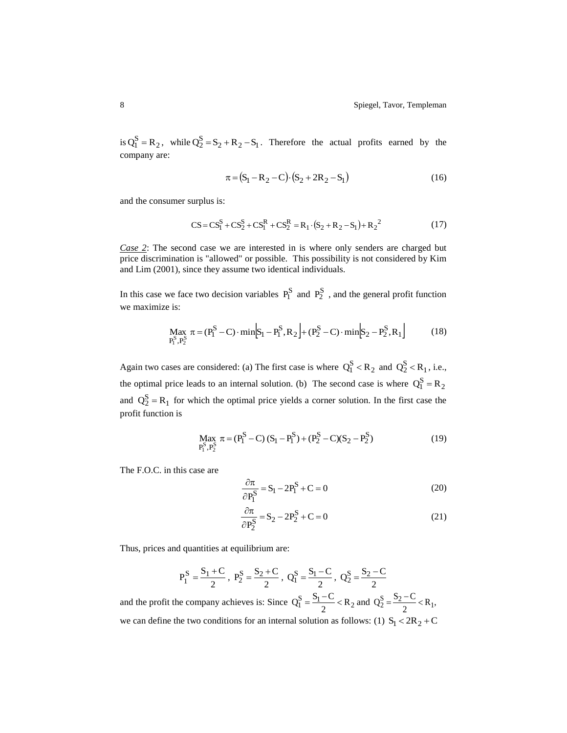is  $Q_1^S = R_2$ , while  $Q_2^S = S_2 + R_2 - S_1$ . Therefore the actual profits earned by the company are:

$$
\pi = (S_1 - R_2 - C) \cdot (S_2 + 2R_2 - S_1)
$$
\n(16)

and the consumer surplus is:

$$
CS = CS_1^S + CS_2^S + CS_1^R + CS_2^R = R_1 \cdot (S_2 + R_2 - S_1) + R_2^2
$$
\n(17)

*Case* 2: The second case we are interested in is where only senders are charged but price discrimination is "allowed" or possible. This possibility is not considered by Kim and Lim (2001), since they assume two identical individuals.

In this case we face two decision variables  $P_1^S$  and  $P_2^S$ , and the general profit function we maximize is:

$$
\max_{P_1^S, P_2^S} \pi = (P_1^S - C) \cdot \min[s_1 - P_1^S, R_2] + (P_2^S - C) \cdot \min[s_2 - P_2^S, R_1]
$$
(18)

Again two cases are considered: (a) The first case is where  $Q_1^S < R_2$  and  $Q_2^S < R_1$ , i.e., the optimal price leads to an internal solution. (b) The second case is where  $Q_1^S = R_2$ and  $Q_2^S = R_1$  for which the optimal price yields a corner solution. In the first case the profit function is

$$
\text{Max}_{P_1^S, P_2^S} \pi = (P_1^S - C)(S_1 - P_1^S) + (P_2^S - C)(S_2 - P_2^S) \tag{19}
$$

The F.O.C. in this case are

$$
\frac{\partial \pi}{\partial P_1^S} = S_1 - 2P_1^S + C = 0
$$
\n(20)

$$
\frac{\partial \pi}{\partial P_2^S} = S_2 - 2P_2^S + C = 0
$$
\n(21)

Thus, prices and quantities at equilibrium are:

$$
P_1^S = \frac{S_1 + C}{2}
$$
,  $P_2^S = \frac{S_2 + C}{2}$ ,  $Q_1^S = \frac{S_1 - C}{2}$ ,  $Q_2^S = \frac{S_2 - C}{2}$ 

and the profit the company achieves is: Since  $Q_1^S = \frac{S_1 - C}{2} < R_2$  $Q_1^S = \frac{S_1 - C}{2} < R_2$  and  $Q_2^S = \frac{S_2 - C}{2} < R_1$ ,  $Q_2^S = \frac{S_2 - C}{2} < R_1$ we can define the two conditions for an internal solution as follows: (1)  $S_1 < 2R_2 + C$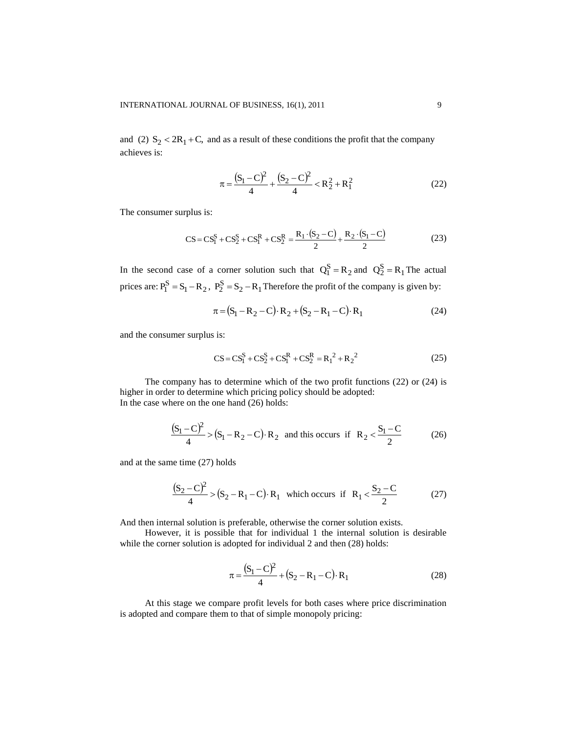and (2)  $S_2 < 2R_1 + C$ , and as a result of these conditions the profit that the company achieves is:

$$
\pi = \frac{(S_1 - C)^2}{4} + \frac{(S_2 - C)^2}{4} < R_2^2 + R_1^2
$$
\n(22)

The consumer surplus is:

$$
CS = CS_1^S + CS_2^S + CS_1^R + CS_2^R = \frac{R_1 \cdot (S_2 - C)}{2} + \frac{R_2 \cdot (S_1 - C)}{2}
$$
 (23)

In the second case of a corner solution such that  $Q_1^S = R_2$  and  $Q_2^S = R_1$  The actual prices are:  $P_1^S = S_1 - R_2$ ,  $P_2^S = S_2 - R_1$  Therefore the profit of the company is given by:

$$
\pi = (S_1 - R_2 - C) \cdot R_2 + (S_2 - R_1 - C) \cdot R_1
$$
\n(24)

and the consumer surplus is:

$$
CS = CS_1^S + CS_2^S + CS_1^R + CS_2^R = R_1^2 + R_2^2
$$
 (25)

The company has to determine which of the two profit functions (22) or (24) is higher in order to determine which pricing policy should be adopted: In the case where on the one hand (26) holds:

$$
\frac{(S_1 - C)^2}{4} > (S_1 - R_2 - C) \cdot R_2
$$
 and this occurs if  $R_2 < \frac{S_1 - C}{2}$  (26)

and at the same time (27) holds

$$
\frac{(S_2 - C)^2}{4} > (S_2 - R_1 - C) \cdot R_1
$$
 which occurs if  $R_1 < \frac{S_2 - C}{2}$  (27)

And then internal solution is preferable, otherwise the corner solution exists.

However, it is possible that for individual 1 the internal solution is desirable while the corner solution is adopted for individual 2 and then  $(28)$  holds:

$$
\pi = \frac{(S_1 - C)^2}{4} + (S_2 - R_1 - C) \cdot R_1
$$
\n(28)

At this stage we compare profit levels for both cases where price discrimination is adopted and compare them to that of simple monopoly pricing: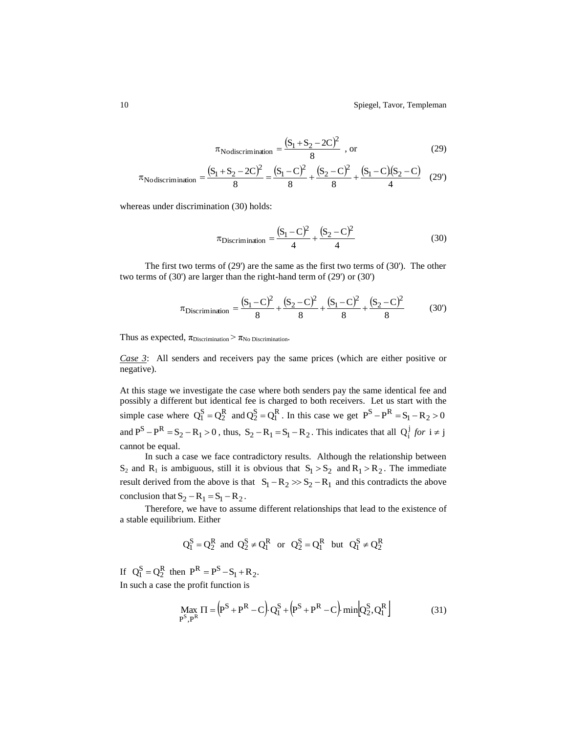$$
\pi_{\text{Nodiscrimination}} = \frac{(S_1 + S_2 - 2C)^2}{8} \text{ , or } \tag{29}
$$

$$
\pi_{\text{Nodiscrimination}} = \frac{(S_1 + S_2 - 2C)^2}{8} = \frac{(S_1 - C)^2}{8} + \frac{(S_2 - C)^2}{8} + \frac{(S_1 - C)(S_2 - C)}{4} \tag{29'}
$$

whereas under discrimination (30) holds:

$$
\pi_{\text{Discrimination}} = \frac{(S_1 - C)^2}{4} + \frac{(S_2 - C)^2}{4} \tag{30}
$$

The first two terms of  $(29')$  are the same as the first two terms of  $(30')$ . The other two terms of (30') are larger than the right-hand term of (29') or (30')

$$
\pi_{\text{Discrimination}} = \frac{(S_1 - C)^2}{8} + \frac{(S_2 - C)^2}{8} + \frac{(S_1 - C)^2}{8} + \frac{(S_2 - C)^2}{8} \tag{30'}
$$

Thus as expected,  $\pi_{\text{Discription}} > \pi_{\text{No Discription}}$ .

*Case 3*: All senders and receivers pay the same prices (which are either positive or negative).

At this stage we investigate the case where both senders pay the same identical fee and possibly a different but identical fee is charged to both receivers. Let us start with the simple case where  $Q_1^S = Q_2^R$  and  $Q_2^S = Q_1^R$ . In this case we get  $P^S - P^R = S_1 - R_2 > 0$ and  $P^S - P^R = S_2 - R_1 > 0$ , thus,  $S_2 - R_1 = S_1 - R_2$ . This indicates that all  $Q_i^j$  for  $i \neq j$ cannot be equal.

In such a case we face contradictory results. Although the relationship between  $S_2$  and  $R_1$  is ambiguous, still it is obvious that  $S_1 > S_2$  and  $R_1 > R_2$ . The immediate result derived from the above is that  $S_1 - R_2 \gg S_2 - R_1$  and this contradicts the above conclusion that  $S_2 - R_1 = S_1 - R_2$ .

Therefore, we have to assume different relationships that lead to the existence of a stable equilibrium. Either

$$
Q_1^S=Q_2^R \text{ and } Q_2^S \neq Q_1^R \text{ or } Q_2^S=Q_1^R \text{ but } Q_1^S \neq Q_2^R
$$

If  $Q_1^S = Q_2^R$  then  $P^R = P^S - S_1 + R_2$ . In such a case the profit function is

$$
\max_{P^S, P^R} \Pi = (P^S + P^R - C) Q_1^S + (P^S + P^R - C) \min[Q_2^S, Q_1^R]
$$
(31)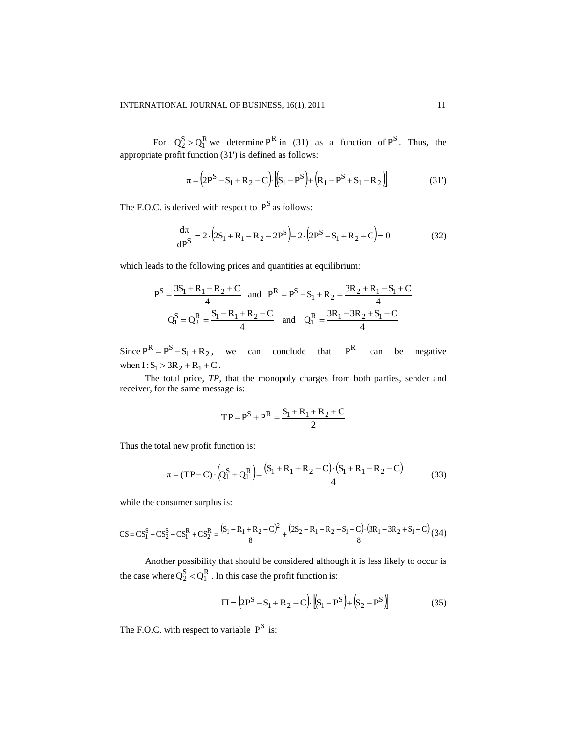For  $Q_2^S > Q_1^R$  we determine  $P^R$  in (31) as a function of  $P^S$ . Thus, the appropriate profit function (31') is defined as follows:

$$
\pi = (2P^{S} - S_{1} + R_{2} - C) \cdot [(S_{1} - P^{S}) + (R_{1} - P^{S} + S_{1} - R_{2})]
$$
\n(31')

The F.O.C. is derived with respect to  $P^S$  as follows:

$$
\frac{d\pi}{dP^S} = 2 \cdot (2S_1 + R_1 - R_2 - 2P^S) - 2 \cdot (2P^S - S_1 + R_2 - C) = 0
$$
\n(32)

which leads to the following prices and quantities at equilibrium:

$$
P^{S} = \frac{3S_{1} + R_{1} - R_{2} + C}{4} \text{ and } P^{R} = P^{S} - S_{1} + R_{2} = \frac{3R_{2} + R_{1} - S_{1} + C}{4}
$$

$$
Q_{1}^{S} = Q_{2}^{R} = \frac{S_{1} - R_{1} + R_{2} - C}{4} \text{ and } Q_{1}^{R} = \frac{3R_{1} - 3R_{2} + S_{1} - C}{4}
$$

Since  $P^R = P^S - S_1 + R_2$ , we can conclude that R P can be negative when  $I: S_1 > 3R_2 + R_1 + C$ .

The total price, *TP*, that the monopoly charges from both parties, sender and receiver, for the same message is:

$$
TP = P^S + P^R = \frac{S_1 + R_1 + R_2 + C}{2}
$$

Thus the total new profit function is:

$$
\pi = (TP - C) \cdot \left(Q_1^S + Q_1^R\right) = \frac{(S_1 + R_1 + R_2 - C) \cdot (S_1 + R_1 - R_2 - C)}{4}
$$
(33)

while the consumer surplus is:

$$
CS = CS_1^S + CS_2^S + CS_1^R + CS_2^R = \frac{(S_1 - R_1 + R_2 - C)^2}{8} + \frac{(2S_2 + R_1 - R_2 - S_1 - C) \cdot (3R_1 - 3R_2 + S_1 - C)}{8} (34)
$$

Another possibility that should be considered although it is less likely to occur is the case where  $Q_2^S < Q_1^R$ . In this case the profit function is:

$$
\Pi = (2P^{S} - S_{1} + R_{2} - C) \cdot [(S_{1} - P^{S}) + (S_{2} - P^{S})]
$$
\n(35)

The F.O.C. with respect to variable  $P^S$  is: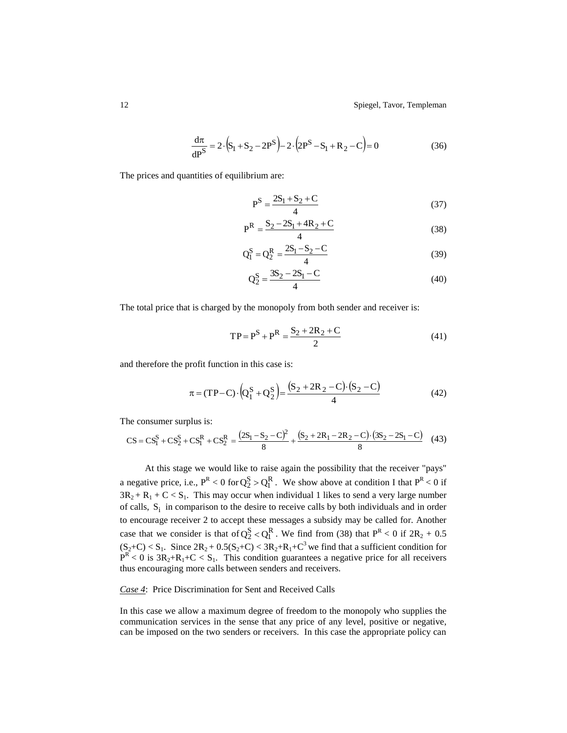$$
\frac{d\pi}{dP^S} = 2 \cdot (S_1 + S_2 - 2P^S) - 2 \cdot (2P^S - S_1 + R_2 - C) = 0
$$
\n(36)

The prices and quantities of equilibrium are:

$$
P^{S} = \frac{2S_1 + S_2 + C}{4}
$$
 (37)

$$
P^{R} = \frac{S_2 - 2S_1 + 4R_2 + C}{4}
$$
 (38)

$$
Q_1^S = Q_2^R = \frac{2S_1 - S_2 - C}{4}
$$
 (39)

$$
Q_2^S = \frac{3S_2 - 2S_1 - C}{4}
$$
 (40)

The total price that is charged by the monopoly from both sender and receiver is:

$$
TP = P^{S} + P^{R} = \frac{S_2 + 2R_2 + C}{2}
$$
 (41)

and therefore the profit function in this case is:

$$
\pi = (TP - C) \cdot (Q_1^S + Q_2^S) = \frac{(S_2 + 2R_2 - C) \cdot (S_2 - C)}{4}
$$
\n(42)

The consumer surplus is:

$$
CS = CS_1^S + CS_2^S + CS_1^R + CS_2^R = \frac{(2S_1 - S_2 - C)^2}{8} + \frac{(S_2 + 2R_1 - 2R_2 - C) \cdot (3S_2 - 2S_1 - C)}{8} \tag{43}
$$

At this stage we would like to raise again the possibility that the receiver "pays" a negative price, i.e.,  $P^{R} < 0$  for  $Q_2^S > Q_1^R$ . We show above at condition I that  $P^{R} < 0$  if  $3R_2 + R_1 + C < S_1$ . This may occur when individual 1 likes to send a very large number of calls,  $S_i$  in comparison to the desire to receive calls by both individuals and in order to encourage receiver 2 to accept these messages a subsidy may be called for. Another case that we consider is that of  $Q_2^S < Q_1^R$ . We find from (38) that  $P^R < 0$  if  $2R_2 + 0.5$  $(S_2+C) < S_1$ . Since  $2R_2 + 0.5(S_2+C) < 3R_2 + R_1 + C^3$  we find that a sufficient condition for  $P^{R}$  < 0 is  $3R_2+R_1+C < S_1$ . This condition guarantees a negative price for all receivers thus encouraging more calls between senders and receivers.

# *Case 4*: Price Discrimination for Sent and Received Calls

In this case we allow a maximum degree of freedom to the monopoly who supplies the communication services in the sense that any price of any level, positive or negative, can be imposed on the two senders or receivers. In this case the appropriate policy can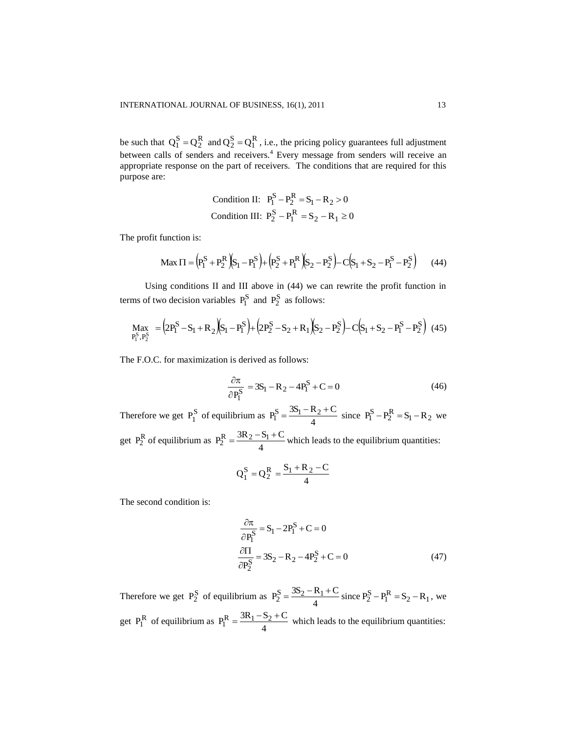be such that  $Q_1^S = Q_2^R$  and  $Q_2^S = Q_1^R$ , i.e., the pricing policy guarantees full adjustment between calls of senders and receivers.<sup>4</sup> Every message from senders will receive an appropriate response on the part of receivers. The conditions that are required for this purpose are:

Condition II: 
$$
P_1^S - P_2^R = S_1 - R_2 > 0
$$
  
Condition III:  $P_2^S - P_1^R = S_2 - R_1 \ge 0$ 

The profit function is:

$$
\text{Max } \Pi = \left( P_1^S + P_2^R \right) \left( S_1 - P_1^S \right) + \left( P_2^S + P_1^R \right) \left( S_2 - P_2^S \right) - C \left( S_1 + S_2 - P_1^S - P_2^S \right) \tag{44}
$$

Using conditions II and III above in (44) we can rewrite the profit function in terms of two decision variables  $P_1^S$  and  $P_2^S$  as follows:

$$
\underset{P_1^S, P_2^S}{Max} = (2P_1^S - S_1 + R_2)(S_1 - P_1^S) + (2P_2^S - S_2 + R_1)(S_2 - P_2^S) - C(S_1 + S_2 - P_1^S - P_2^S) \tag{45}
$$

The F.O.C. for maximization is derived as follows:

$$
\frac{\partial \pi}{\partial P_1^S} = 3S_1 - R_2 - 4P_1^S + C = 0
$$
\n(46)

Therefore we get  $P_1^S$  $P_1^S$  of equilibrium as  $P_1^S = \frac{3.51}{4}$  $P_1^S = \frac{3S_1 - R_2 + C}{4}$  $=\frac{3S_1 - R_2 + C}{4}$  since  $P_1^S - P_2^R = S_1 - R_2$  we get P<sub>2</sub><sup>R</sup> of equilibrium as  $P_2^R = \frac{3R_2 - R_1}{4}$  $P_2^R = \frac{3R_2 - S_1 + C}{4}$  $=\frac{3R_2-S_1+C}{\frac{1}{2}}$  which leads to the equilibrium quantities:

$$
Q_1^S = Q_2^R = \frac{S_1 + R_2 - C}{4}
$$

The second condition is:

$$
\frac{\partial \pi}{\partial P_1^S} = S_1 - 2P_1^S + C = 0
$$
  

$$
\frac{\partial \Pi}{\partial P_2^S} = 3S_2 - R_2 - 4P_2^S + C = 0
$$
 (47)

Therefore we get  $P_2^S$  of equilibrium as  $P_2^S = \frac{3S_2 - F_1}{4}$  $P_2^S = \frac{3S_2 - R_1 + C}{4}$  $=\frac{3S_2 - R_1 + C}{4}$  since  $P_2^S - P_1^R = S_2 - R_1$ , we get  $P_1^R$  of equilibrium as  $P_1^R = \frac{3R_1 - S_1}{4}$  $P_1^{\rm R} = \frac{3R_1 - S_2 + C}{4}$  $=\frac{3R_1-S_2+C}{1}$  which leads to the equilibrium quantities: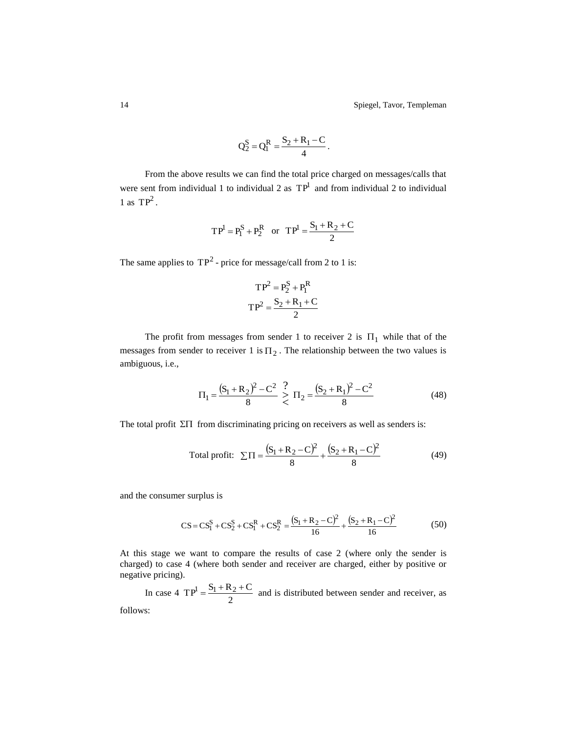14 Spiegel, Tavor, Templeman

$$
Q_2^S = Q_1^R = \frac{S_2 + R_1 - C}{4}.
$$

From the above results we can find the total price charged on messages/calls that were sent from individual 1 to individual 2 as  $TP<sup>1</sup>$  and from individual 2 to individual 1 as  $TP^2$ .

$$
TP^1 = P_1^S + P_2^R
$$
 or  $TP^1 = \frac{S_1 + R_2 + C}{2}$ 

The same applies to  $TP^2$  - price for message/call from 2 to 1 is:

$$
TP2 = P2S + P1R
$$

$$
TP2 = \frac{S2 + R1 + C}{2}
$$

The profit from messages from sender 1 to receiver 2 is  $\Pi_1$  while that of the messages from sender to receiver 1 is  $\Pi_2$ . The relationship between the two values is ambiguous, i.e.,

$$
\Pi_1 = \frac{(S_1 + R_2)^2 - C^2}{8} \ge \Pi_2 = \frac{(S_2 + R_1)^2 - C^2}{8}
$$
\n(48)

The total profit  $\Sigma\Pi$  from discriminating pricing on receivers as well as senders is:

Total profit: 
$$
\Sigma \Pi = \frac{(S_1 + R_2 - C)^2}{8} + \frac{(S_2 + R_1 - C)^2}{8}
$$
 (49)

and the consumer surplus is

$$
CS = CS_1^S + CS_2^S + CS_1^R + CS_2^R = \frac{(S_1 + R_2 - C)^2}{16} + \frac{(S_2 + R_1 - C)^2}{16}
$$
(50)

At this stage we want to compare the results of case 2 (where only the sender is charged) to case 4 (where both sender and receiver are charged, either by positive or negative pricing).

In case 4  $TP^1 = \frac{P_1 + R}{2}$  $TP^1 = \frac{S_1 + R_2 + C}{S_1}$  and is distributed between sender and receiver, as follows: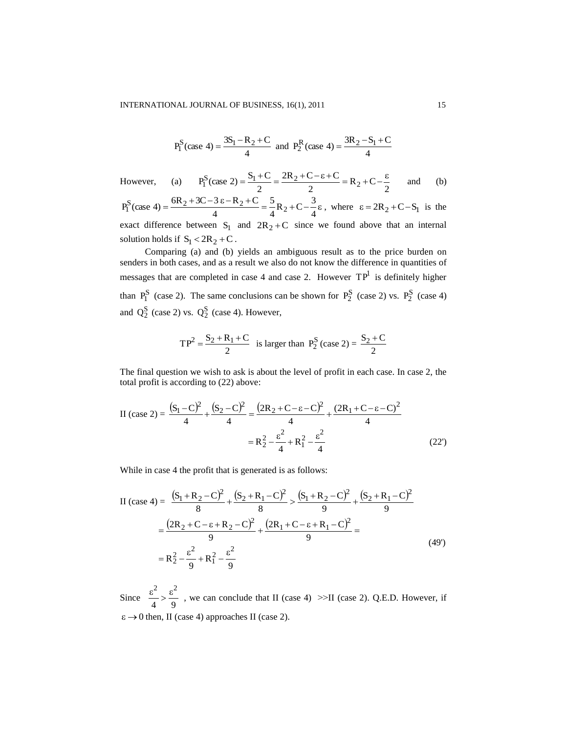$$
P_1^S
$$
(case 4) =  $\frac{3S_1 - R_2 + C}{4}$  and  $P_2^R$ (case 4) =  $\frac{3R_2 - S_1 + C}{4}$ 

However, (a)  $P_1^S(\text{case 2}) = \frac{P_1^S - P_2^S}{2} = \frac{2R_2^S - R_1^S - R_2^S}{2} = R_2 + C - \frac{C_1^S}{2}$  $2R_2 + C - \epsilon + C$ 2  $P_1^S(\text{case 2}) = \frac{S_1 + C}{2} = \frac{2R_2 + C - \epsilon + C}{2} = R_2$  $=\frac{S_1+C}{2}=\frac{2R_2+C-\epsilon+C}{2}=R_2+C-\frac{\epsilon}{2}$ and (b)

 $=\frac{6R_2+3C-3 \epsilon - R_2 + C}{4} = \frac{5}{2}R_2 + C - \frac{3}{2}\epsilon$ 4  $\frac{5}{4}R_2 + C - \frac{3}{4}$ 5 4  $P_1^S(\text{case } 4) = \frac{6R_2 + 3C - 3 \epsilon - R_2 + C}{4} = \frac{5}{4}R_2 + C - \frac{3}{4}\epsilon$ , where  $\epsilon = 2R_2 + C - S_1$  is the exact difference between  $S_1$  and  $2R_2 + C$  since we found above that an internal solution holds if  $S_1 < 2R_2 + C$ .

Comparing (a) and (b) yields an ambiguous result as to the price burden on senders in both cases, and as a result we also do not know the difference in quantities of messages that are completed in case 4 and case 2. However  $TP<sup>1</sup>$  is definitely higher than  $P_1^S$  (case 2). The same conclusions can be shown for  $P_2^S$  (case 2) vs.  $P_2^S$  (case 4) and  $Q_2^S$  (case 2) vs.  $Q_2^S$  (case 4). However,

$$
TP^2 = \frac{S_2 + R_1 + C}{2}
$$
 is larger than  $P_2^S$  (case 2) =  $\frac{S_2 + C}{2}$ 

The final question we wish to ask is about the level of profit in each case. In case 2, the total profit is according to (22) above:

II (case 2) = 
$$
\frac{(S_1 - C)^2}{4} + \frac{(S_2 - C)^2}{4} = \frac{(2R_2 + C - \epsilon - C)^2}{4} + \frac{(2R_1 + C - \epsilon - C)^2}{4}
$$

$$
= R_2^2 - \frac{\epsilon^2}{4} + R_1^2 - \frac{\epsilon^2}{4}
$$
(22')

While in case 4 the profit that is generated is as follows:

II (case 4) = 
$$
\frac{(S_1 + R_2 - C)^2}{8} + \frac{(S_2 + R_1 - C)^2}{8} > \frac{(S_1 + R_2 - C)^2}{9} + \frac{(S_2 + R_1 - C)^2}{9}
$$

$$
= \frac{(2R_2 + C - \epsilon + R_2 - C)^2}{9} + \frac{(2R_1 + C - \epsilon + R_1 - C)^2}{9} =
$$

$$
= R_2^2 - \frac{\epsilon^2}{9} + R_1^2 - \frac{\epsilon^2}{9}
$$
(49')

Since  $\frac{6}{4} > \frac{6}{9}$  $\frac{\varepsilon^2}{\sigma} > \frac{\varepsilon^2}{2}$ , we can conclude that II (case 4) >>II (case 2). Q.E.D. However, if  $\varepsilon \rightarrow 0$  then, II (case 4) approaches II (case 2).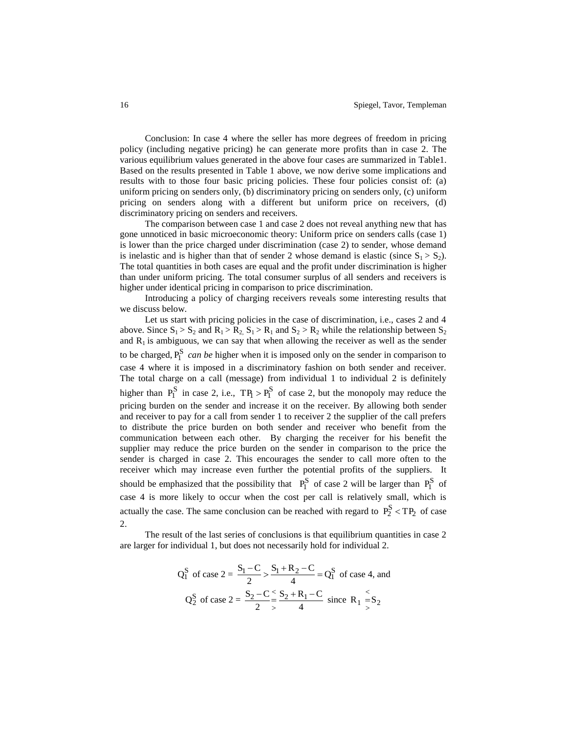Conclusion: In case 4 where the seller has more degrees of freedom in pricing policy (including negative pricing) he can generate more profits than in case 2. The various equilibrium values generated in the above four cases are summarized in Table1. Based on the results presented in Table 1 above, we now derive some implications and results with to those four basic pricing policies. These four policies consist of: (a) uniform pricing on senders only, (b) discriminatory pricing on senders only, (c) uniform pricing on senders along with a different but uniform price on receivers, (d) discriminatory pricing on senders and receivers.

The comparison between case 1 and case 2 does not reveal anything new that has gone unnoticed in basic microeconomic theory: Uniform price on senders calls (case 1) is lower than the price charged under discrimination (case 2) to sender, whose demand is inelastic and is higher than that of sender 2 whose demand is elastic (since  $S_1 > S_2$ ). The total quantities in both cases are equal and the profit under discrimination is higher than under uniform pricing. The total consumer surplus of all senders and receivers is higher under identical pricing in comparison to price discrimination.

Introducing a policy of charging receivers reveals some interesting results that we discuss below.

Let us start with pricing policies in the case of discrimination, i.e., cases 2 and 4 above. Since  $S_1 > S_2$  and  $R_1 > R_2$ ,  $S_1 > R_1$  and  $S_2 > R_2$  while the relationship between  $S_2$ and  $R_1$  is ambiguous, we can say that when allowing the receiver as well as the sender to be charged,  $P_1^S$  *can be* higher when it is imposed only on the sender in comparison to case 4 where it is imposed in a discriminatory fashion on both sender and receiver. The total charge on a call (message) from individual 1 to individual 2 is definitely higher than  $P_1^S$  in case 2, i.e.,  $TP_1 > P_1^S$  of case 2, but the monopoly may reduce the pricing burden on the sender and increase it on the receiver. By allowing both sender and receiver to pay for a call from sender 1 to receiver 2 the supplier of the call prefers to distribute the price burden on both sender and receiver who benefit from the communication between each other. By charging the receiver for his benefit the supplier may reduce the price burden on the sender in comparison to the price the sender is charged in case 2. This encourages the sender to call more often to the receiver which may increase even further the potential profits of the suppliers. It should be emphasized that the possibility that  $P_1^S$  of case 2 will be larger than  $P_1^S$  of case 4 is more likely to occur when the cost per call is relatively small, which is actually the case. The same conclusion can be reached with regard to  $P_2^S < TP_2$  of case 2.

The result of the last series of conclusions is that equilibrium quantities in case 2 are larger for individual 1, but does not necessarily hold for individual 2.

$$
Q_1^S \text{ of case } 2 = \frac{S_1 - C}{2} > \frac{S_1 + R_2 - C}{4} = Q_1^S \text{ of case 4, and}
$$
  

$$
Q_2^S \text{ of case } 2 = \frac{S_2 - C}{2} \le \frac{S_2 + R_1 - C}{4} \text{ since } R_1 \le S_2
$$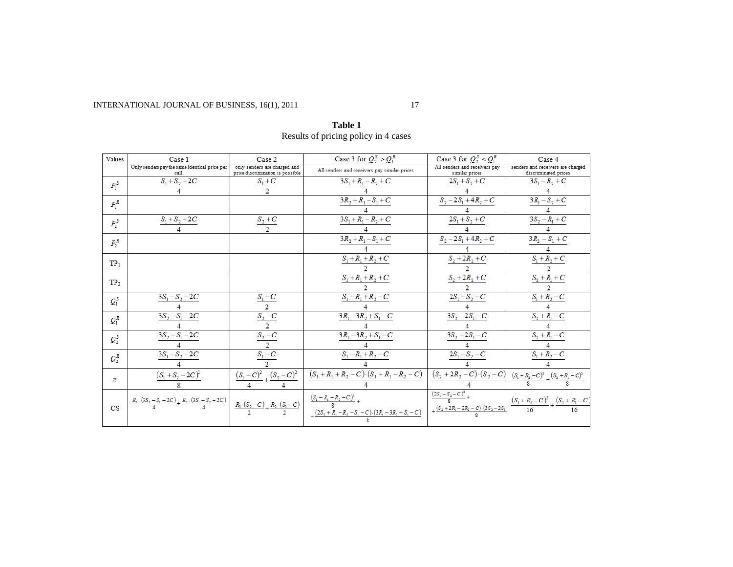INTERNATIONAL JOURNAL OF BUSINESS, 16(1), 2011 17

| Values                 | Case 1                                                                          | Case 2                                                           | Case 3 for $Q_2^S > Q_1^R$                                                                                                                                                                                          | Case 3 for $Q_2^S < Q_1^R$                      | Case 4                                                                                                                                                                                                                                                                                                                                                                                                                                                                                                   |
|------------------------|---------------------------------------------------------------------------------|------------------------------------------------------------------|---------------------------------------------------------------------------------------------------------------------------------------------------------------------------------------------------------------------|-------------------------------------------------|----------------------------------------------------------------------------------------------------------------------------------------------------------------------------------------------------------------------------------------------------------------------------------------------------------------------------------------------------------------------------------------------------------------------------------------------------------------------------------------------------------|
|                        | Only senders pay the same identical price per<br>call                           | only senders are charged and<br>price discrimination is possible | All senders and receivers pay similar prices                                                                                                                                                                        | All senders and receivers pay<br>similar prices | senders and receivers are charged<br>discriminated prices                                                                                                                                                                                                                                                                                                                                                                                                                                                |
| $P_1^S$                | $S_1 + S_2 + 2C$                                                                | $S_1+C$                                                          | $3S_1 + R_1 - R_2 + C$                                                                                                                                                                                              | $2S_1+S_2+C$                                    | $3S_1 - R_2 + C$                                                                                                                                                                                                                                                                                                                                                                                                                                                                                         |
|                        |                                                                                 |                                                                  |                                                                                                                                                                                                                     |                                                 |                                                                                                                                                                                                                                                                                                                                                                                                                                                                                                          |
| $P_1^R$                |                                                                                 |                                                                  | $3R_2 + R_1 - S_1 + C$                                                                                                                                                                                              | $S_2 - 2S_1 + 4R_2 + C$                         | $3R_1 - S_2 + C$                                                                                                                                                                                                                                                                                                                                                                                                                                                                                         |
|                        |                                                                                 |                                                                  |                                                                                                                                                                                                                     |                                                 |                                                                                                                                                                                                                                                                                                                                                                                                                                                                                                          |
| $P_2^S$                | $S_1 + S_2 + 2C$                                                                | $\frac{S_2+C}{2}$                                                | $3S_1 + R_1 - R_2 + C$                                                                                                                                                                                              | $2S_1 + S_2 + C$                                | $3S_2 - R_1 + C$                                                                                                                                                                                                                                                                                                                                                                                                                                                                                         |
|                        |                                                                                 |                                                                  | $3R_2 + R_1 - S_1 + C$                                                                                                                                                                                              | $S_2 - 2S_1 + 4R_2 + C$                         | $3R_2 - S_1 + C$                                                                                                                                                                                                                                                                                                                                                                                                                                                                                         |
| $P_2^R$                |                                                                                 |                                                                  |                                                                                                                                                                                                                     |                                                 |                                                                                                                                                                                                                                                                                                                                                                                                                                                                                                          |
|                        |                                                                                 |                                                                  | $S_1 + R_1 + R_2 + C$                                                                                                                                                                                               | $S_2 + 2R_2 + C$                                | $S_1 + R_2 + C$                                                                                                                                                                                                                                                                                                                                                                                                                                                                                          |
| TP <sub>1</sub>        |                                                                                 |                                                                  |                                                                                                                                                                                                                     |                                                 |                                                                                                                                                                                                                                                                                                                                                                                                                                                                                                          |
| TP <sub>2</sub>        |                                                                                 |                                                                  | $S_1 + R_1 + R_2 + C$                                                                                                                                                                                               | $S_2 + 2R_2 + C$                                | $S_2 + R_1 + C$                                                                                                                                                                                                                                                                                                                                                                                                                                                                                          |
|                        |                                                                                 |                                                                  |                                                                                                                                                                                                                     |                                                 |                                                                                                                                                                                                                                                                                                                                                                                                                                                                                                          |
| $Q_1^S$                | $3S_1 - S_2 - 2C$                                                               | $\frac{S_1-C}{2}$                                                | $S_1 - R_1 + R_2 - C$                                                                                                                                                                                               | $2S_1 - S_2 - C$                                | $S_1 + R_2 - C$                                                                                                                                                                                                                                                                                                                                                                                                                                                                                          |
|                        |                                                                                 |                                                                  |                                                                                                                                                                                                                     |                                                 |                                                                                                                                                                                                                                                                                                                                                                                                                                                                                                          |
| $Q_1^R$                | $3S_2 - S_1 - 2C$                                                               | $S_2 - C$                                                        | $3R_1 - 3R_2 + S_1 - C$                                                                                                                                                                                             | $3S_2 - 2S_1 - C$                               | $S_2 + R_1 - C$                                                                                                                                                                                                                                                                                                                                                                                                                                                                                          |
|                        |                                                                                 | $\overline{2}$                                                   |                                                                                                                                                                                                                     |                                                 |                                                                                                                                                                                                                                                                                                                                                                                                                                                                                                          |
| $Q_2^S$                | $3S_2 - S_1 - 2C$                                                               | $\frac{S_2-C}{2}$                                                | $3R_1 - 3R_2 + S_1 - C$                                                                                                                                                                                             | $3S_2 - 2S_1 - C$                               | $S_2 + R_1 - C$                                                                                                                                                                                                                                                                                                                                                                                                                                                                                          |
|                        |                                                                                 |                                                                  |                                                                                                                                                                                                                     |                                                 |                                                                                                                                                                                                                                                                                                                                                                                                                                                                                                          |
| $Q_2^R$                | $3S_1 - S_2 - 2C$                                                               | $S_1 - C$                                                        | $S_1 - R_1 + R_2 - C$                                                                                                                                                                                               | $2S_1 - S_2 - C$                                | $S_1 + R_2 - C$                                                                                                                                                                                                                                                                                                                                                                                                                                                                                          |
|                        |                                                                                 |                                                                  |                                                                                                                                                                                                                     |                                                 |                                                                                                                                                                                                                                                                                                                                                                                                                                                                                                          |
| π                      | $(S_1 + S_2 - 2C)^2$                                                            | $\frac{(S_1-C)^2}{2} + \frac{(S_2-C)^2}{2}$                      | $(S_1 + R_1 + R_2 - C) \cdot (S_1 + R_1 - R_2 - C)$                                                                                                                                                                 |                                                 | $\overline{\left(S_2+2R_2-C\right)\cdot \left(S_2-C\right)}\left[\begin{array}{c c} \text{ } & \text{ }\\ \text{ } & \text{ }\\ \text{ } & \text{ }\\ \text{ } & \text{ }\\ \text{ } & \text{ }\\ \text{ } & \text{ }\\ \end{array}\right]\text{ } \underline{(S_1+R_2-C)^2}\text{ }+\frac{\text{ }\\ \text{ }\\ \text{ } & \text{ }\\ \text{ } & \text{ }\\ \text{ } & \text{ }\\ \text{ } & \text{ }\\ \text{ } & \text{ }\\ \text{ } & \text{ }\\ \text{ } & \text{ }\\ \text{ } & \text{ }\\ \text{$ |
|                        |                                                                                 |                                                                  |                                                                                                                                                                                                                     |                                                 |                                                                                                                                                                                                                                                                                                                                                                                                                                                                                                          |
|                        | $\frac{R_1 \cdot (3S_2 - S_1 - 2C)}{4} + \frac{R_2 \cdot (3S_1 - S_2 - 2C)}{4}$ |                                                                  | $\left.\frac{\,R_1\cdot (S_2-C\,{2}\,)}{2}+\frac{\,R_2\cdot (S_1-C\,)}{2}\,\right \,\left.\begin{array}{c c} \frac{(S_1-R_1+R_2-C)^2}{8}+\\ \frac{(2S_2+R_1-R_2-S_1-C\,)(3R_1-3R_2+S_1-C\,)}{8} \end{array}\right.$ | $\frac{(2S_1-S_2-C)^2}{8}+$                     | $\frac{(S_1 + R_2 - C)^2}{16} + \frac{(S_2 + R_1 - C)}{16}$                                                                                                                                                                                                                                                                                                                                                                                                                                              |
| $\overline{\text{CS}}$ |                                                                                 |                                                                  |                                                                                                                                                                                                                     | $+\frac{(S_2+2R_1-2R_2-C)\cdot(3S_2-2S_1)}{2}$  |                                                                                                                                                                                                                                                                                                                                                                                                                                                                                                          |
|                        |                                                                                 |                                                                  |                                                                                                                                                                                                                     |                                                 |                                                                                                                                                                                                                                                                                                                                                                                                                                                                                                          |

**Table 1** Results of pricing policy in 4 cases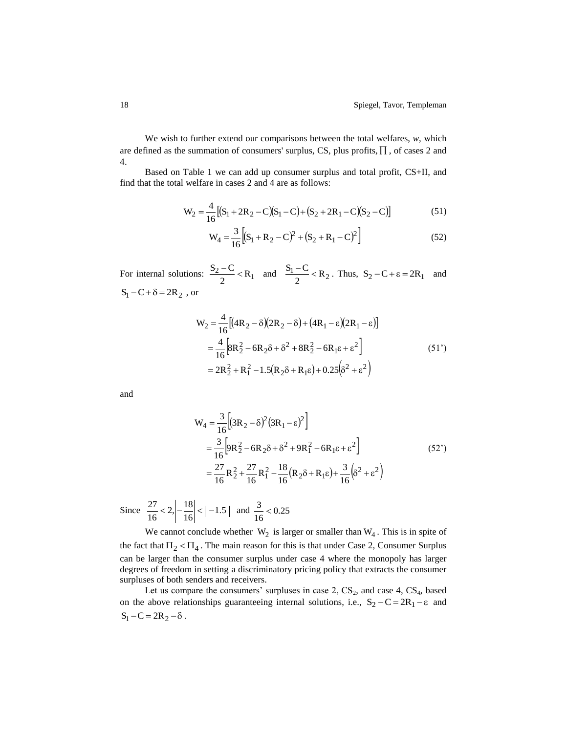We wish to further extend our comparisons between the total welfares, *w*, which are defined as the summation of consumers' surplus, CS, plus profits,  $\Pi$ , of cases 2 and 4.

Based on Table 1 we can add up consumer surplus and total profit, CS+II, and find that the total welfare in cases 2 and 4 are as follows:

$$
W_2 = \frac{4}{16} [(S_1 + 2R_2 - C)(S_1 - C) + (S_2 + 2R_1 - C)(S_2 - C)]
$$
\n(51)

$$
W_4 = \frac{3}{16} \Big[ (S_1 + R_2 - C)^2 + (S_2 + R_1 - C)^2 \Big] \tag{52}
$$

For internal solutions:  $\frac{S_2 - C}{2} < R_1$  $\frac{S_2-C}{2} < R_1$  and  $\frac{S_1-C}{2} < R_2$  $\frac{S_1 - C}{2}$  < R<sub>2</sub>. Thus, S<sub>2</sub> – C +  $\epsilon$  = 2R<sub>1</sub> and  $S_1 - C + \delta = 2R_2$ , or

$$
W_2 = \frac{4}{16} [(4R_2 - \delta)(2R_2 - \delta) + (4R_1 - \epsilon)(2R_1 - \epsilon)]
$$
  
=  $\frac{4}{16} [8R_2^2 - 6R_2\delta + \delta^2 + 8R_2^2 - 6R_1\epsilon + \epsilon^2]$   
=  $2R_2^2 + R_1^2 - 1.5(R_2\delta + R_1\epsilon) + 0.25(\delta^2 + \epsilon^2)$  (51')

and

$$
W_4 = \frac{3}{16} \Big[ (3R_2 - \delta)^2 (3R_1 - \epsilon)^2 \Big]
$$
  
=  $\frac{3}{16} \Big[ 9R_2^2 - 6R_2 \delta + \delta^2 + 9R_1^2 - 6R_1 \epsilon + \epsilon^2 \Big]$  (52')  
=  $\frac{27}{16} R_2^2 + \frac{27}{16} R_1^2 - \frac{18}{16} (R_2 \delta + R_1 \epsilon) + \frac{3}{16} (\delta^2 + \epsilon^2)$ 

Since  $\frac{27}{16} < 2, \left| -\frac{18}{16} \right| < \left| -1.5 \right|$  $\frac{27}{16}$  < 2,  $\left| \frac{18}{16} \right|$  <  $\left| -1.5 \right|$  and  $\frac{3}{16}$  < 0.25  $\frac{3}{2}$ 

We cannot conclude whether  $W_2$  is larger or smaller than  $W_4$ . This is in spite of the fact that  $\Pi_2 < \Pi_4$ . The main reason for this is that under Case 2, Consumer Surplus can be larger than the consumer surplus under case 4 where the monopoly has larger degrees of freedom in setting a discriminatory pricing policy that extracts the consumer surpluses of both senders and receivers.

Let us compare the consumers' surpluses in case  $2$ ,  $CS_2$ , and case  $4$ ,  $CS_4$ , based on the above relationships guaranteeing internal solutions, i.e.,  $S_2 - C = 2R_1 - \epsilon$  and  $S_1 - C = 2R_2 - \delta$ .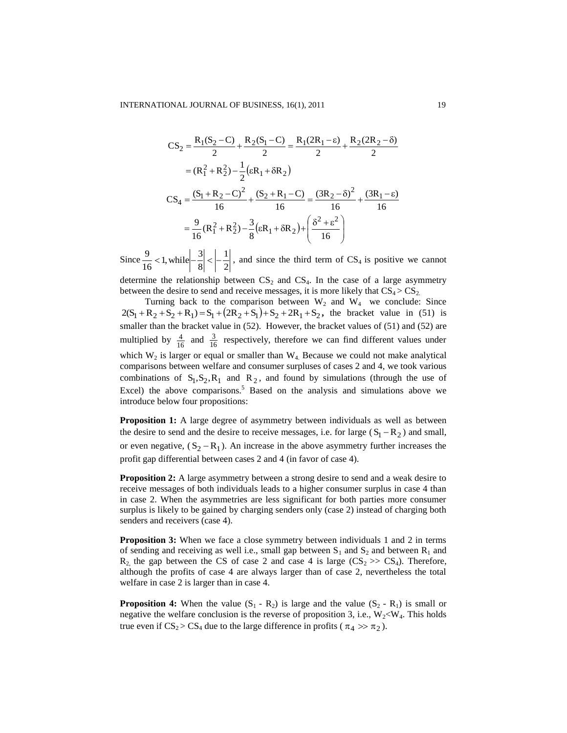$$
CS_2 = \frac{R_1(S_2 - C)}{2} + \frac{R_2(S_1 - C)}{2} = \frac{R_1(2R_1 - \epsilon)}{2} + \frac{R_2(2R_2 - \delta)}{2}
$$
  
=  $(R_1^2 + R_2^2) - \frac{1}{2}(\epsilon R_1 + \delta R_2)$   

$$
CS_4 = \frac{(S_1 + R_2 - C)^2}{16} + \frac{(S_2 + R_1 - C)}{16} = \frac{(3R_2 - \delta)^2}{16} + \frac{(3R_1 - \epsilon)}{16}
$$
  
=  $\frac{9}{16}(R_1^2 + R_2^2) - \frac{3}{8}(\epsilon R_1 + \delta R_2) + \left(\frac{\delta^2 + \epsilon^2}{16}\right)$ 

Since  $\frac{3}{16}$  < 1, while  $\left|-\frac{3}{8}\right|$  <  $\left|-\frac{1}{2}\right|$ 1 8  $\frac{9}{16}$  < 1, while  $-\frac{3}{8}$  $\frac{9}{2}$  < 1, while  $\frac{3}{2}$  <  $\frac{1}{2}$ , and since the third term of CS<sub>4</sub> is positive we cannot determine the relationship between  $CS<sub>2</sub>$  and  $CS<sub>4</sub>$ . In the case of a large asymmetry between the desire to send and receive messages, it is more likely that  $CS_4 > CS_2$ .

Turning back to the comparison between  $W_2$  and  $W_4$  we conclude: Since  $2(S_1 + R_2 + S_2 + R_1) = S_1 + (2R_2 + S_1) + S_2 + 2R_1 + S_2$ , the bracket value in (51) is smaller than the bracket value in (52). However, the bracket values of (51) and (52) are multiplied by  $\frac{4}{16}$  $\frac{4}{6}$  and  $\frac{3}{16}$  $\frac{3}{2}$  respectively, therefore we can find different values under which  $W_2$  is larger or equal or smaller than  $W_4$ . Because we could not make analytical comparisons between welfare and consumer surpluses of cases 2 and 4, we took various combinations of  $S_1, S_2, R_1$  and  $R_2$ , and found by simulations (through the use of Excel) the above comparisons.<sup>5</sup> Based on the analysis and simulations above we introduce below four propositions:

**Proposition 1:** A large degree of asymmetry between individuals as well as between the desire to send and the desire to receive messages, i.e. for large  $(S_1 - R_2)$  and small, or even negative,  $(S_2 - R_1)$ . An increase in the above asymmetry further increases the profit gap differential between cases 2 and 4 (in favor of case 4).

**Proposition 2:** A large asymmetry between a strong desire to send and a weak desire to receive messages of both individuals leads to a higher consumer surplus in case 4 than in case 2. When the asymmetries are less significant for both parties more consumer surplus is likely to be gained by charging senders only (case 2) instead of charging both senders and receivers (case 4).

**Proposition 3:** When we face a close symmetry between individuals 1 and 2 in terms of sending and receiving as well i.e., small gap between  $S_1$  and  $S_2$  and between  $R_1$  and  $R_2$  the gap between the CS of case 2 and case 4 is large (CS<sub>2</sub> >> CS<sub>4</sub>). Therefore, although the profits of case 4 are always larger than of case 2, nevertheless the total welfare in case 2 is larger than in case 4.

**Proposition 4:** When the value  $(S_1 - R_2)$  is large and the value  $(S_2 - R_1)$  is small or negative the welfare conclusion is the reverse of proposition 3, i.e.,  $W_2 < W_4$ . This holds true even if  $CS_2 > CS_4$  due to the large difference in profits ( $\pi_4 \gg \pi_2$ ).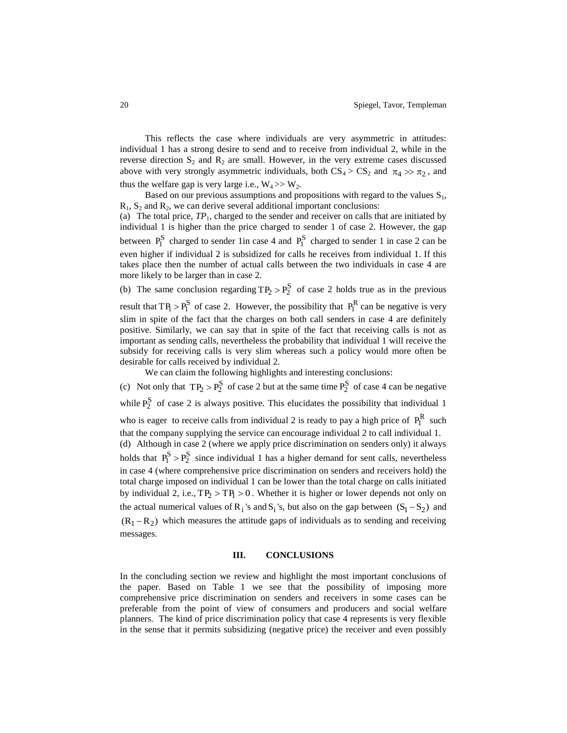This reflects the case where individuals are very asymmetric in attitudes: individual 1 has a strong desire to send and to receive from individual 2, while in the reverse direction  $S_2$  and  $R_2$  are small. However, in the very extreme cases discussed above with very strongly asymmetric individuals, both  $CS_4 > CS_2$  and  $\pi_4 \gg \pi_2$ , and thus the welfare gap is very large i.e.,  $W_4 \gg W_2$ .

Based on our previous assumptions and propositions with regard to the values  $S_1$ ,  $R_1$ ,  $S_2$  and  $R_2$ , we can derive several additional important conclusions:

(a) The total price,  $TP_1$ , charged to the sender and receiver on calls that are initiated by individual 1 is higher than the price charged to sender 1 of case 2. However, the gap between  $P_1^S$  charged to sender 1 in case 4 and  $P_1^S$  charged to sender 1 in case 2 can be even higher if individual 2 is subsidized for calls he receives from individual 1. If this takes place then the number of actual calls between the two individuals in case 4 are more likely to be larger than in case 2.

(b) The same conclusion regarding  $TP_2 > P_2^S$  of case 2 holds true as in the previous result that  $TP_1 > P_1^S$  of case 2. However, the possibility that  $P_1^R$  can be negative is very slim in spite of the fact that the charges on both call senders in case 4 are definitely positive. Similarly, we can say that in spite of the fact that receiving calls is not as important as sending calls, nevertheless the probability that individual 1 will receive the subsidy for receiving calls is very slim whereas such a policy would more often be desirable for calls received by individual 2.

We can claim the following highlights and interesting conclusions:

(c) Not only that  $TP_2 > P_2^S$  of case 2 but at the same time  $P_2^S$  of case 4 can be negative while  $P_2^S$  of case 2 is always positive. This elucidates the possibility that individual 1 who is eager to receive calls from individual 2 is ready to pay a high price of  $P_1^R$  such that the company supplying the service can encourage individual 2 to call individual 1. (d) Although in case 2 (where we apply price discrimination on senders only) it always holds that  $P_1^S > P_2^S$  since individual 1 has a higher demand for sent calls, nevertheless in case 4 (where comprehensive price discrimination on senders and receivers hold) the total charge imposed on individual 1 can be lower than the total charge on calls initiated by individual 2, i.e.,  $TP_2 > TP_1 > 0$ . Whether it is higher or lower depends not only on the actual numerical values of  $R_i$ 's and  $S_i$ 's, but also on the gap between  $(S_1 - S_2)$  and  $(R_1 - R_2)$  which measures the attitude gaps of individuals as to sending and receiving messages.

## **III. CONCLUSIONS**

In the concluding section we review and highlight the most important conclusions of the paper. Based on Table 1 we see that the possibility of imposing more comprehensive price discrimination on senders and receivers in some cases can be preferable from the point of view of consumers and producers and social welfare planners. The kind of price discrimination policy that case 4 represents is very flexible in the sense that it permits subsidizing (negative price) the receiver and even possibly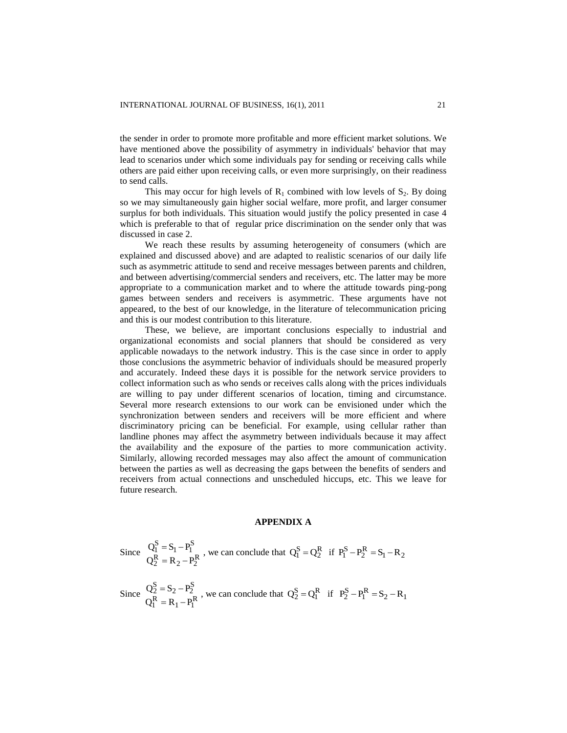the sender in order to promote more profitable and more efficient market solutions. We have mentioned above the possibility of asymmetry in individuals' behavior that may lead to scenarios under which some individuals pay for sending or receiving calls while others are paid either upon receiving calls, or even more surprisingly, on their readiness to send calls.

This may occur for high levels of  $R_1$  combined with low levels of  $S_2$ . By doing so we may simultaneously gain higher social welfare, more profit, and larger consumer surplus for both individuals. This situation would justify the policy presented in case 4 which is preferable to that of regular price discrimination on the sender only that was discussed in case 2.

We reach these results by assuming heterogeneity of consumers (which are explained and discussed above) and are adapted to realistic scenarios of our daily life such as asymmetric attitude to send and receive messages between parents and children, and between advertising/commercial senders and receivers, etc. The latter may be more appropriate to a communication market and to where the attitude towards ping-pong games between senders and receivers is asymmetric. These arguments have not appeared, to the best of our knowledge, in the literature of telecommunication pricing and this is our modest contribution to this literature.

These, we believe, are important conclusions especially to industrial and organizational economists and social planners that should be considered as very applicable nowadays to the network industry. This is the case since in order to apply those conclusions the asymmetric behavior of individuals should be measured properly and accurately. Indeed these days it is possible for the network service providers to collect information such as who sends or receives calls along with the prices individuals are willing to pay under different scenarios of location, timing and circumstance. Several more research extensions to our work can be envisioned under which the synchronization between senders and receivers will be more efficient and where discriminatory pricing can be beneficial. For example, using cellular rather than landline phones may affect the asymmetry between individuals because it may affect the availability and the exposure of the parties to more communication activity. Similarly, allowing recorded messages may also affect the amount of communication between the parties as well as decreasing the gaps between the benefits of senders and receivers from actual connections and unscheduled hiccups, etc. This we leave for future research.

#### **APPENDIX A**

Since 
$$
Q_1^S = S_1 - P_1^S
$$
, we can conclude that  $Q_1^S = Q_2^R$  if  $P_1^S - P_2^R = S_1 - R_2$   
 $Q_2^R = R_2 - P_2^R$ 

Since 
$$
Q_2^S = S_2 - P_2^S
$$
, we can conclude that  $Q_2^S = Q_1^R$  if  $P_2^S - P_1^R = S_2 - R_1$   
 $Q_1^R = R_1 - P_1^R$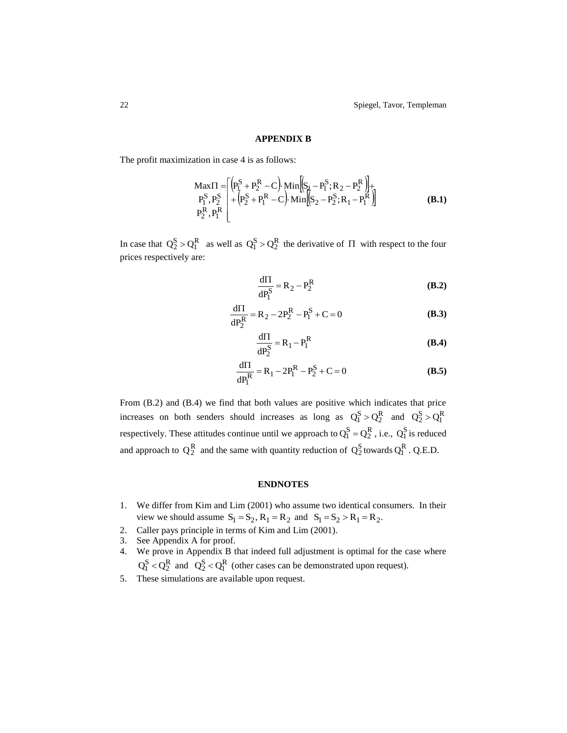## **APPENDIX B**

The profit maximization in case 4 is as follows:

$$
\begin{array}{l}\n\text{Max} \Pi = \left[ \left( P_1^S + P_2^R - C \right) \cdot \text{Min} \left[ \left( S_1 - P_1^S; R_2 - P_2^R \right) \right] + \\
P_1^S, P_2^S \right] + \left( P_2^S + P_1^R - C \right) \cdot \text{Min} \left[ \left( S_2 - P_2^S; R_1 - P_1^R \right) \right] \\
P_2^R, P_1^R\n\end{array} \tag{B.1}
$$

In case that  $Q_2^S > Q_1^R$  as well as  $Q_1^S > Q_2^R$  the derivative of  $\Pi$  with respect to the four prices respectively are:

$$
\frac{d\Pi}{dP_1^S} = R_2 - P_2^R
$$
 (B.2)

$$
\frac{d\Pi}{dP_2^R} = R_2 - 2P_2^R - P_1^S + C = 0
$$
 (B.3)

$$
\frac{d\Pi}{dP_2^S} = R_1 - P_1^R
$$
 (B.4)

$$
\frac{d\Pi}{dP_1^R} = R_1 - 2P_1^R - P_2^S + C = 0
$$
 (B.5)

From (B.2) and (B.4) we find that both values are positive which indicates that price increases on both senders should increases as long as  $Q_1^S > Q_2^R$  and  $Q_2^S > Q_1^R$ respectively. These attitudes continue until we approach to  $Q_1^S = Q_2^R$ , i.e.,  $Q_1^S$  is reduced and approach to  $Q_2^R$  and the same with quantity reduction of  $Q_2^S$  towards  $Q_1^R$ . Q.E.D.

# **ENDNOTES**

- 1. We differ from Kim and Lim (2001) who assume two identical consumers. In their view we should assume  $S_1 = S_2$ ,  $R_1 = R_2$  and  $S_1 = S_2 > R_1 = R_2$ .
- 2. Caller pays principle in terms of Kim and Lim (2001).
- 3. See Appendix A for proof.
- 4. We prove in Appendix B that indeed full adjustment is optimal for the case where  $Q_1^S < Q_2^R$  and  $Q_2^S < Q_1^R$  (other cases can be demonstrated upon request).
- 5. These simulations are available upon request.